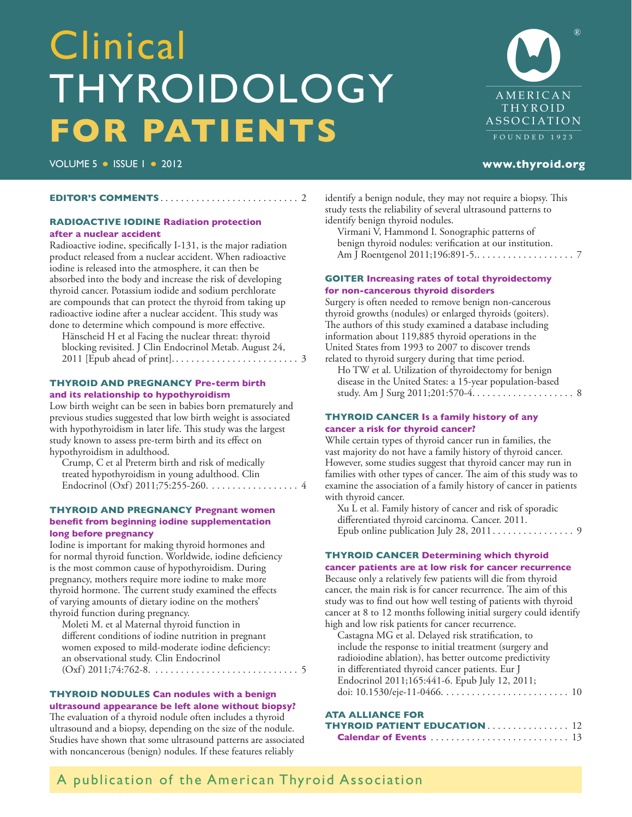# <span id="page-0-0"></span>Clinical THYROIDOLOGY **FOR PATIENTS**

AMERICAN THYROID ASSOCIATION FOUNDED 1923

VOLUME 5 ISSUE 1 2012 **[www.thyroid.org](http://www.thyroid.org)**

#### **EDITOR'S COMMENTS** [. . . . . . . . . . . . . . . . . . . . . . . . . . .](#page-1-0) 2

#### **RADIOACTIVE IODINE Radiation protection after a nuclear accident**

[Radioactive iodine, specifically I-131, is the major radiation](#page-2-0)  product released from a nuclear accident. When radioactive iodine is released into the atmosphere, it can then be absorbed into the body and increase the risk of developing thyroid cancer. Potassium iodide and sodium perchlorate are compounds that can protect the thyroid from taking up radioactive iodine after a nuclear accident. This study was done to determine which compound is more effective.

Hänscheid H et al [Facing the nuclear threat: thyroid](http://www.ncbi.nlm.nih.gov/pubmed/21865356)  [blocking revisited.](http://www.ncbi.nlm.nih.gov/pubmed/21865356) J Clin Endocrinol Metab. August 24, 2011 [Epub ahead of print]. . . . . . . . . . . . . . . . . . . . . . . . . 3

#### **THYROID AND PREGNANCY Pre-term birth and its relationship to hypothyroidism**

[Low birth weight can be seen in babies born prematurely and](#page-3-0)  previous studies suggested that low birth weight is associated with hypothyroidism in later life. This study was the largest study known to assess pre-term birth and its effect on hypothyroidism in adulthood.

Crump, C et al Preterm birth and risk of medically treated hypothyroidism in young adulthood. Clin Endocrinol (Oxf) 2011;75:255-260. . . . . . . . . . . . . . . . . . 4

#### **THYROID AND PREGNANCY Pregnant women benefit from beginning iodine supplementation long before pregnancy**

Iodine is important for making thyroid hormones and [for normal thyroid function. Worldwide, iodine deficiency](#page-4-0)  is the most common cause of hypothyroidism. During pregnancy, mothers require more iodine to make more thyroid hormone. The current study examined the effects of varying amounts of dietary iodine on the mothers' thyroid function during pregnancy.

Moleti M. et al Maternal thyroid function in different conditions of iodine nutrition in pregnant women exposed to mild-moderate iodine deficiency: an observational study. Clin Endocrinol  $(Oxf) 2011;74:762-8. . . . . . . . . . . . . . . . . . . . . . . . . 5$ 

#### **THYROID NODULES Can nodules with a benign ultrasound appearance be left alone without biopsy?**

The evaluation of a thyroid nodule often includes a thyroid ultrasound and a biopsy, depending on the size of the nodule. [Studies have shown that some ultrasound patterns are associated](#page-6-0)  with noncancerous (benign) nodules. If these features reliably

[identify a benign nodule, they may not require a biopsy. This](#page-6-0)  study tests the reliability of several ultrasound patterns to identify benign thyroid nodules.

Virmani V, Hammond I. Sonographic patterns of benign thyroid nodules: verification at our institution. Am J Roentgenol 2011;196:891-5. . . . . . . . . . . . . . . . . . . . 7

#### **GOITER Increasing rates of total thyroidectomy for non-cancerous thyroid disorders**

Surgery is often needed to remove benign non-cancerous thyroid growths (nodules) or enlarged thyroids (goiters). [The authors of this study examined a database including](#page-1-0)  information about 119,885 thyroid operations in the United States from 1993 to 2007 to discover trends related to thyroid surgery during that time period.

Ho TW et al. Utilization of thyroidectomy for benign disease in the United States: a 15-year population-based [study. Am J Surg 2011;201:570-4. . . . . . . . . . . . . . . . . . . .](#page-7-0) 8

#### **THYROID CANCER Is a family history of any cancer a risk for thyroid cancer?**

While certain types of thyroid cancer run in families, the vast majority do not have a family history of thyroid cancer. However, some studies suggest that thyroid cancer may run in [families with other types of cancer. The aim of this study was to](#page-8-0)  [examine the association of a family history of cancer in patients](#page-1-0)  with thyroid cancer.

Xu L et al. Family history of cancer and risk of sporadic differentiated thyroid carcinoma. Cancer. 2011. Epub online publication July 28, 2011 . . . . . . . . . . . . . . . . 9

#### **THYROID CANCER Determining which thyroid cancer patients are at low risk for cancer recurrence**

Because only a relatively few patients will die from thyroid cancer, the main risk is for cancer recurrence. The aim of this study was to find out how well testing of patients with thyroid [cancer at 8 to 12 months following initial surgery could identify](#page-9-0)  high and low risk patients for cancer recurrence.

Castagna MG et al. Delayed risk stratification, to include the response to initial treatment (surgery and radioiodine ablation), has better outcome predictivity in differentiated thyroid cancer patients. Eur J Endocrinol 2011;165:441-6. Epub July 12, 2011; doi: 10.1530/eje-11-0466. . . . . . . . . . . . . . . . . . . . . . . . . 10

#### **ATA ALLIANCE FOR**

| <b>THYROID PATIENT EDUCATION</b> $\ldots \ldots \ldots \ldots \ldots 12$ |  |
|--------------------------------------------------------------------------|--|
|                                                                          |  |

### A publication of the American Thyroid Association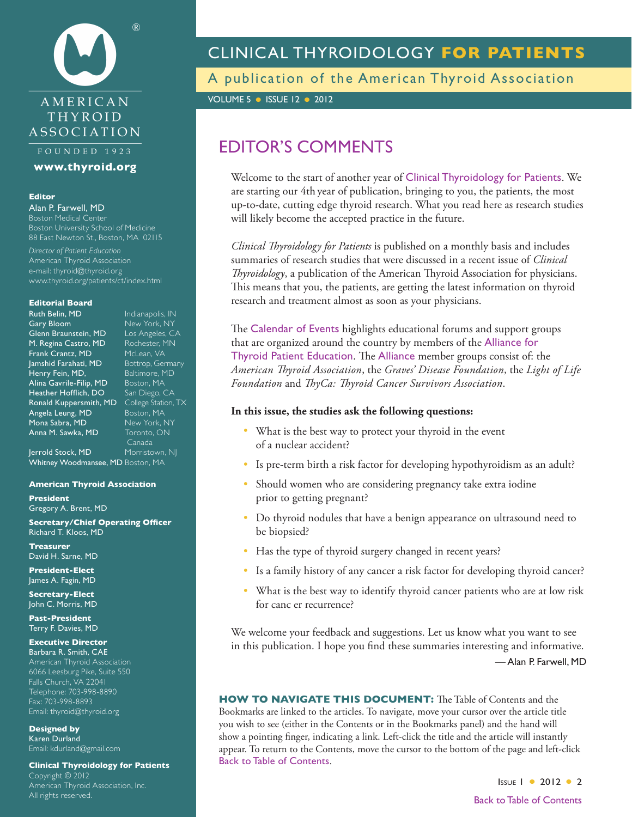<span id="page-1-0"></span>

#### FOUNDED 1923

**[www.thyroid.org](http://www.thyroid.org)**

#### **Editor**

Alan P. Farwell, MD Boston Medical Center Boston University School of Medicine

88 East Newton St., Boston, MA 02115 *Director of Patient Education* American Thyroid Association

e-mail: [thyroid@thyroid.org](mailto:thyroid@thyroid.org) [www.thyroid.org/patients/ct/index.html](www.thyroid.org/patients/ct/index.html )

#### **Editorial Board**

**Ruth Belin, MD** Indianapolis, IN<br>Indiany Bloom New <u>York, NY</u> Glenn Braunstein, MD M. Regina Castro, MD Rochester, MN Frank Crantz, MD McLean, VA<br>Jamshid Farahati, MD Bottrop, Germany Jamshid Farahati, MD Bottrop, German<br>Henry Fein, MD, Baltimore, MD Henry Fein, MD, Alina Gavrile-Filip, MD Boston, MA Heather Hofflich, DO San Diego, CA Ronald Kuppersmith, MD College Station, TX Angela Leung, MD Boston, MA Mona Sabra, MD New York, NY Anna M. Sawka, MD Toronto, ON

New York, NY<br>Los Angeles, CA Canada Jerrold Stock, MD Morristown, NJ Whitney Woodmansee, MD Boston, MA

#### **American Thyroid Association**

**President** Gregory A. Brent, MD

**Secretary/Chief Operating Officer** Richard T. Kloos, MD

**Treasurer** David H. Sarne, MD

**President-Elect** James A. Fagin, MD

**Secretary-Elect** John C. Morris, MD

**Past-President** Terry F. Davies, MD

#### **Executive Director**

Barbara R. Smith, CAE American Thyroid Association 6066 Leesburg Pike, Suite 550 Falls Church, VA 22041 Telephone: 703-998-8890 Fax: 703-998-8893 Email: [thyroid@thyroid.org](mailto:thyroid@thyroid.org)

**Designed by** Karen Durland Email: kdurland@gmail.com

**Clinical Thyroidology for Patients** Copyright © 2012 American Thyroid Association, Inc. All rights reserved.

### CLINICAL THYROIDOLOGY **FOR PATIENTS**

A publication of the American Thyroid Association

**VOLUME 5 · ISSUE 12 · 2012** 

### EDITOR'S COMMENTS

Welcome to the start of another year of Clinical Thyroidology for Patients. We are starting our 4th year of publication, bringing to you, the patients, the most up-to-date, cutting edge thyroid research. What you read here as research studies will likely become the accepted practice in the future.

*Clinical Thyroidology for Patients* is published on a monthly basis and includes summaries of research studies that were discussed in a recent issue of *Clinical Thyroidology*, a publication of the American Thyroid Association for physicians. This means that you, the patients, are getting the latest information on thyroid research and treatment almost as soon as your physicians.

The Calendar of Events highlights educational forums and support groups that are organized around the country by members of the Alliance for Thyroid Patient Education. The Alliance member groups consist of: the *American Thyroid Association*, the *Graves' Disease Foundation*, the *Light of Life Foundation* and *ThyCa: Thyroid Cancer Survivors Association*.

#### **In this issue, the studies ask the following questions:**

- What is the best way to protect your thyroid in the event of a nuclear accident?
- Is pre-term birth a risk factor for developing hypothyroidism as an adult?
- Should women who are considering pregnancy take extra iodine prior to getting pregnant?
- Do thyroid nodules that have a benign appearance on ultrasound need to be biopsied?
- Has the type of thyroid surgery changed in recent years?
- Is a family history of any cancer a risk factor for developing thyroid cancer?
- What is the best way to identify thyroid cancer patients who are at low risk for canc er recurrence?

We welcome your feedback and suggestions. Let us know what you want to see in this publication. I hope you find these summaries interesting and informative. — Alan P. Farwell, MD

**HOW TO NAVIGATE THIS DOCUMENT:** The Table of Contents and the Bookmarks are linked to the articles. To navigate, move your cursor over the article title you wish to see (either in the Contents or in the Bookmarks panel) and the hand will show a pointing finger, indicating a link. Left-click the title and the article will instantly appear. To return to the Contents, move the cursor to the bottom of the page and left-click Back to Table of [Contents](#page-0-0).

> **ISSUE 1 • 2012 • 2** Back to Table of [Contents](#page-0-0)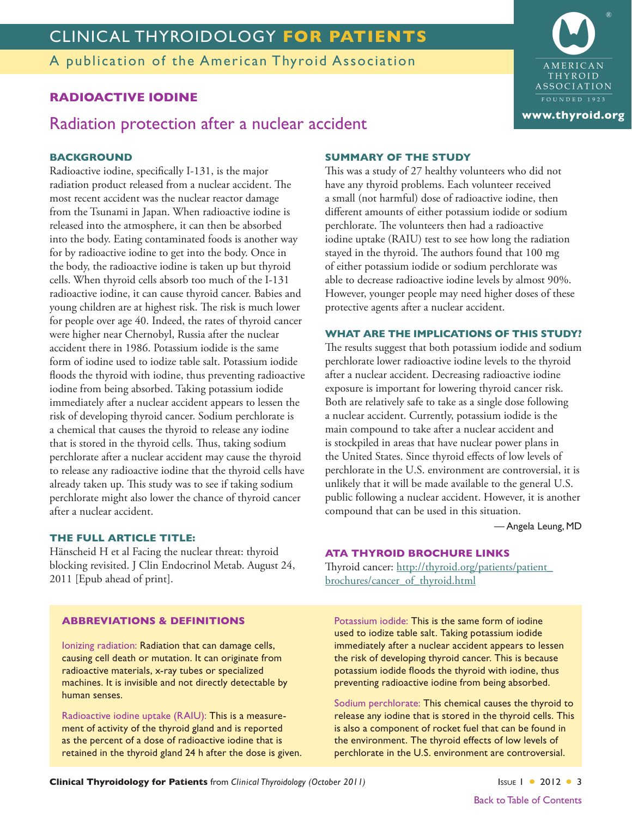<span id="page-2-0"></span>A publication of the American Thyroid Association

#### **RADIOACTIVE IODINE**

#### Radiation protection after a nuclear accident

#### **BACKGROUND**

Radioactive iodine, specifically I-131, is the major radiation product released from a nuclear accident. The most recent accident was the nuclear reactor damage from the Tsunami in Japan. When radioactive iodine is released into the atmosphere, it can then be absorbed into the body. Eating contaminated foods is another way for by radioactive iodine to get into the body. Once in the body, the radioactive iodine is taken up but thyroid cells. When thyroid cells absorb too much of the I-131 radioactive iodine, it can cause thyroid cancer. Babies and young children are at highest risk. The risk is much lower for people over age 40. Indeed, the rates of thyroid cancer were higher near Chernobyl, Russia after the nuclear accident there in 1986. Potassium iodide is the same form of iodine used to iodize table salt. Potassium iodide floods the thyroid with iodine, thus preventing radioactive iodine from being absorbed. Taking potassium iodide immediately after a nuclear accident appears to lessen the risk of developing thyroid cancer. Sodium perchlorate is a chemical that causes the thyroid to release any iodine that is stored in the thyroid cells. Thus, taking sodium perchlorate after a nuclear accident may cause the thyroid to release any radioactive iodine that the thyroid cells have already taken up. This study was to see if taking sodium perchlorate might also lower the chance of thyroid cancer after a nuclear accident.

#### **THE FULL ARTICLE TITLE:**

Hänscheid H et al [Facing the nuclear threat: thyroid](http://www.ncbi.nlm.nih.gov/pubmed/21865356)  [blocking revisited.](http://www.ncbi.nlm.nih.gov/pubmed/21865356) J Clin Endocrinol Metab. August 24, 2011 [Epub ahead of print].

#### **SUMMARY OF THE STUDY**

This was a study of 27 healthy volunteers who did not have any thyroid problems. Each volunteer received a small (not harmful) dose of radioactive iodine, then different amounts of either potassium iodide or sodium perchlorate. The volunteers then had a radioactive iodine uptake (RAIU) test to see how long the radiation stayed in the thyroid. The authors found that 100 mg of either potassium iodide or sodium perchlorate was able to decrease radioactive iodine levels by almost 90%. However, younger people may need higher doses of these protective agents after a nuclear accident.

#### **WHAT ARE THE IMPLICATIONS OF THIS STUDY?**

The results suggest that both potassium iodide and sodium perchlorate lower radioactive iodine levels to the thyroid after a nuclear accident. Decreasing radioactive iodine exposure is important for lowering thyroid cancer risk. Both are relatively safe to take as a single dose following a nuclear accident. Currently, potassium iodide is the main compound to take after a nuclear accident and is stockpiled in areas that have nuclear power plans in the United States. Since thyroid effects of low levels of perchlorate in the U.S. environment are controversial, it is unlikely that it will be made available to the general U.S. public following a nuclear accident. However, it is another compound that can be used in this situation.

— Angela Leung, MD

#### **ATA THYROID BROCHURE LINKS**

Thyroid cancer: [http://thyroid.org/patients/patient\\_](http://thyroid.org/patients/patient_brochures/cancer_of_thyroid.html) [brochures/cancer\\_of\\_thyroid.html](http://thyroid.org/patients/patient_brochures/cancer_of_thyroid.html)

#### **ABBREVIATIONS & DEFINITIONS**

Ionizing radiation: Radiation that can damage cells, causing cell death or mutation. It can originate from radioactive materials, x-ray tubes or specialized machines. It is invisible and not directly detectable by human senses.

Radioactive iodine uptake (RAIU): This is a measurement of activity of the thyroid gland and is reported as the percent of a dose of radioactive iodine that is retained in the thyroid gland 24 h after the dose is given. Potassium iodide: This is the same form of iodine used to iodize table salt. Taking potassium iodide immediately after a nuclear accident appears to lessen the risk of developing thyroid cancer. This is because potassium iodide floods the thyroid with iodine, thus preventing radioactive iodine from being absorbed.

Sodium perchlorate: This chemical causes the thyroid to release any iodine that is stored in the thyroid cells. This is also a component of rocket fuel that can be found in the environment. The thyroid effects of low levels of perchlorate in the U.S. environment are controversial.

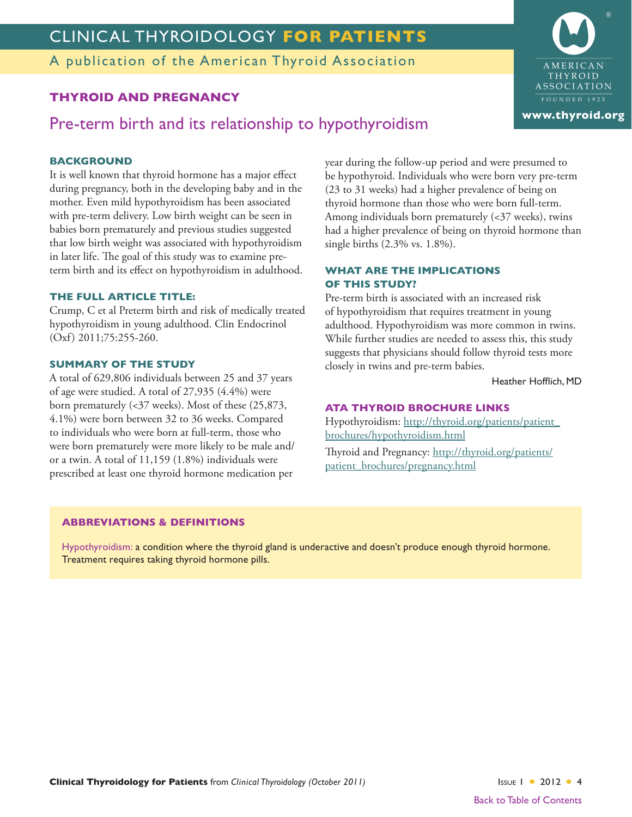<span id="page-3-0"></span>A publication of the American Thyroid Association

### **THYROID AND PREGNANCY**

Pre-term birth and its relationship to hypothyroidism

#### **BACKGROUND**

It is well known that thyroid hormone has a major effect during pregnancy, both in the developing baby and in the mother. Even mild hypothyroidism has been associated with pre-term delivery. Low birth weight can be seen in babies born prematurely and previous studies suggested that low birth weight was associated with hypothyroidism in later life. The goal of this study was to examine preterm birth and its effect on hypothyroidism in adulthood.

#### **THE FULL ARTICLE TITLE:**

Crump, C et al Preterm birth and risk of medically treated hypothyroidism in young adulthood. Clin Endocrinol (Oxf) 2011;75:255-260.

#### **SUMMARY OF THE STUDY**

A total of 629,806 individuals between 25 and 37 years of age were studied. A total of 27,935 (4.4%) were born prematurely (<37 weeks). Most of these (25,873, 4.1%) were born between 32 to 36 weeks. Compared to individuals who were born at full-term, those who were born prematurely were more likely to be male and/ or a twin. A total of 11,159 (1.8%) individuals were prescribed at least one thyroid hormone medication per year during the follow-up period and were presumed to be hypothyroid. Individuals who were born very pre-term (23 to 31 weeks) had a higher prevalence of being on thyroid hormone than those who were born full-term. Among individuals born prematurely  $\left\langle \langle 37 \rangle \right\rangle$  weeks), twins had a higher prevalence of being on thyroid hormone than single births (2.3% vs. 1.8%).

#### **WHAT ARE THE IMPLICATIONS OF THIS STUDY?**

Pre-term birth is associated with an increased risk of hypothyroidism that requires treatment in young adulthood. Hypothyroidism was more common in twins. While further studies are needed to assess this, this study suggests that physicians should follow thyroid tests more closely in twins and pre-term babies.

Heather Hofflich, MD

#### **ATA THYROID BROCHURE LINKS**

Hypothyroidism: [http://thyroid.org/patients/patient\\_](http://thyroid.org/patients/patient_brochures/hypothyroidism.html) [brochures/hypothyroidism.html](http://thyroid.org/patients/patient_brochures/hypothyroidism.html)

Thyroid and Pregnancy: [http://thyroid.org/patients/](http://thyroid.org/patients/patient_brochures/pregnancy.html) [patient\\_brochures/pregnancy.html](http://thyroid.org/patients/patient_brochures/pregnancy.html)

#### **ABBREVIATIONS & DEFINITIONS**

Hypothyroidism: a condition where the thyroid gland is underactive and doesn't produce enough thyroid hormone. Treatment requires taking thyroid hormone pills.

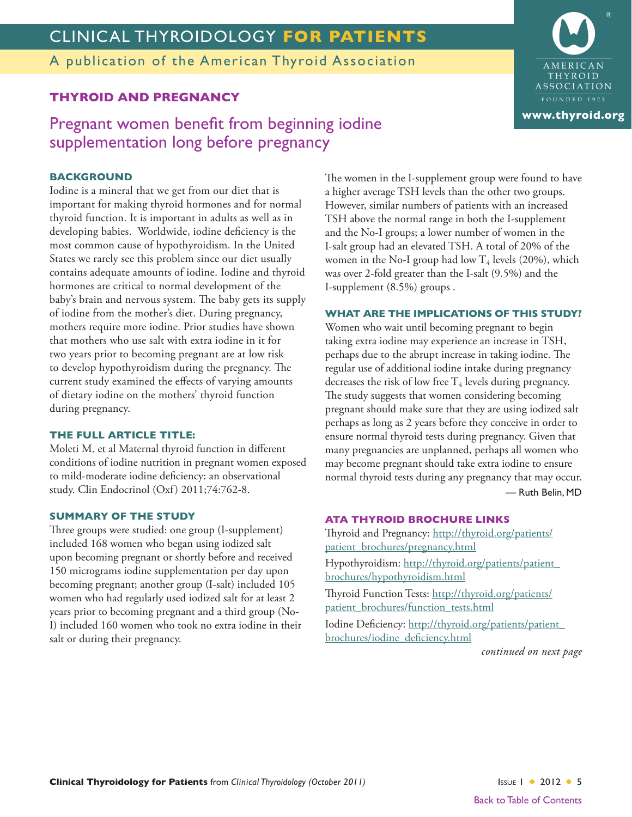<span id="page-4-0"></span>A publication of the American Thyroid Association

### **THYROID AND PREGNANCY**

#### **BACKGROUND**

Iodine is a mineral that we get from our diet that is important for making thyroid hormones and for normal thyroid function. It is important in adults as well as in developing babies. Worldwide, iodine deficiency is the most common cause of hypothyroidism. In the United States we rarely see this problem since our diet usually contains adequate amounts of iodine. Iodine and thyroid hormones are critical to normal development of the baby's brain and nervous system. The baby gets its supply of iodine from the mother's diet. During pregnancy, mothers require more iodine. Prior studies have shown that mothers who use salt with extra iodine in it for two years prior to becoming pregnant are at low risk to develop hypothyroidism during the pregnancy. The current study examined the effects of varying amounts of dietary iodine on the mothers' thyroid function during pregnancy.

supplementation long before pregnancy

#### **THE FULL ARTICLE TITLE:**

Moleti M. et al Maternal thyroid function in different conditions of iodine nutrition in pregnant women exposed to mild-moderate iodine deficiency: an observational study. Clin Endocrinol (Oxf) 2011;74:762-8.

#### **SUMMARY OF THE STUDY**

Three groups were studied: one group (I-supplement) included 168 women who began using iodized salt upon becoming pregnant or shortly before and received 150 micrograms iodine supplementation per day upon becoming pregnant; another group (I-salt) included 105 women who had regularly used iodized salt for at least 2 years prior to becoming pregnant and a third group (No-I) included 160 women who took no extra iodine in their salt or during their pregnancy.

The women in the I-supplement group were found to have a higher average TSH levels than the other two groups. However, similar numbers of patients with an increased TSH above the normal range in both the I-supplement and the No-I groups; a lower number of women in the I-salt group had an elevated TSH. A total of 20% of the women in the No-I group had low  $T_4$  levels (20%), which was over 2-fold greater than the I-salt (9.5%) and the I-supplement (8.5%) groups .

#### **WHAT ARE THE IMPLICATIONS OF THIS STUDY?**

Women who wait until becoming pregnant to begin taking extra iodine may experience an increase in TSH, perhaps due to the abrupt increase in taking iodine. The regular use of additional iodine intake during pregnancy decreases the risk of low free  $T_4$  levels during pregnancy. The study suggests that women considering becoming pregnant should make sure that they are using iodized salt perhaps as long as 2 years before they conceive in order to ensure normal thyroid tests during pregnancy. Given that many pregnancies are unplanned, perhaps all women who may become pregnant should take extra iodine to ensure normal thyroid tests during any pregnancy that may occur. — Ruth Belin, MD

#### **ATA THYROID BROCHURE LINKS**

Thyroid and Pregnancy: [http://thyroid.org/patients/](http://thyroid.org/patients/patient_brochures/pregnancy.html) [patient\\_brochures/pregnancy.html](http://thyroid.org/patients/patient_brochures/pregnancy.html)

Hypothyroidism: [http://thyroid.org/patients/patient\\_](http://thyroid.org/patients/patient_brochures/hypothyroidism.html) [brochures/hypothyroidism.html](http://thyroid.org/patients/patient_brochures/hypothyroidism.html)

Thyroid Function Tests: [http://thyroid.org/patients/](http://thyroid.org/patients/patient_brochures/function_tests.html) [patient\\_brochures/function\\_tests.html](http://thyroid.org/patients/patient_brochures/function_tests.html)

Iodine Deficiency: [http://thyroid.org/patients/patient\\_](http://thyroid.org/patients/patient_brochures/iodine_deficiency.html) [brochures/iodine\\_deficiency.html](http://thyroid.org/patients/patient_brochures/iodine_deficiency.html)

*continued on next page*

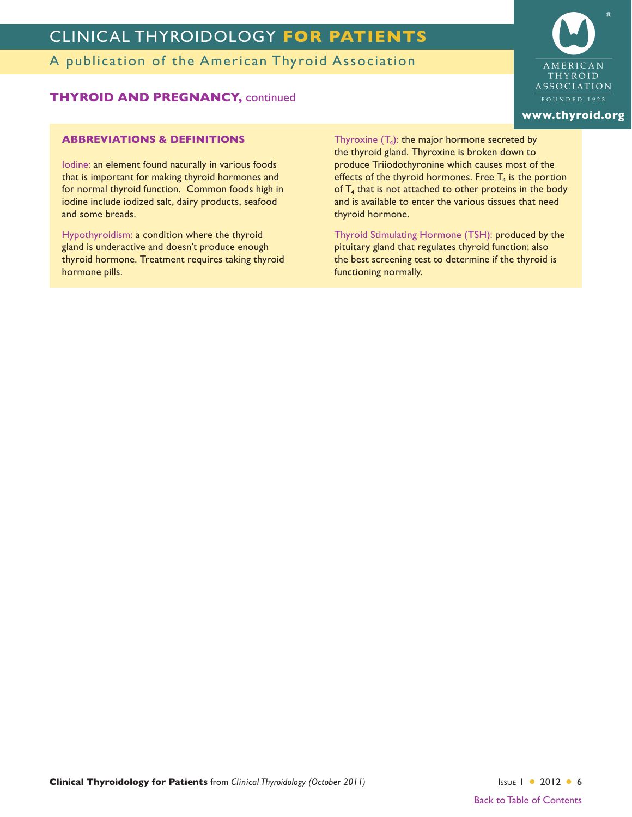A publication of the American Thyroid Association

#### **THYROID AND PREGNANCY,** continued

#### **ABBREVIATIONS & DEFINITIONS**

Iodine: an element found naturally in various foods that is important for making thyroid hormones and for normal thyroid function. Common foods high in iodine include iodized salt, dairy products, seafood and some breads.

Hypothyroidism: a condition where the thyroid gland is underactive and doesn't produce enough thyroid hormone. Treatment requires taking thyroid hormone pills.

Thyroxine  $(T_4)$ : the major hormone secreted by the thyroid gland. Thyroxine is broken down to produce Triiodothyronine which causes most of the effects of the thyroid hormones. Free  $T<sub>4</sub>$  is the portion of  $T_4$  that is not attached to other proteins in the body and is available to enter the various tissues that need thyroid hormone.

Thyroid Stimulating Hormone (TSH): produced by the pituitary gland that regulates thyroid function; also the best screening test to determine if the thyroid is functioning normally.



#### **[www.thyroid.org](http://www.thyroid.org)**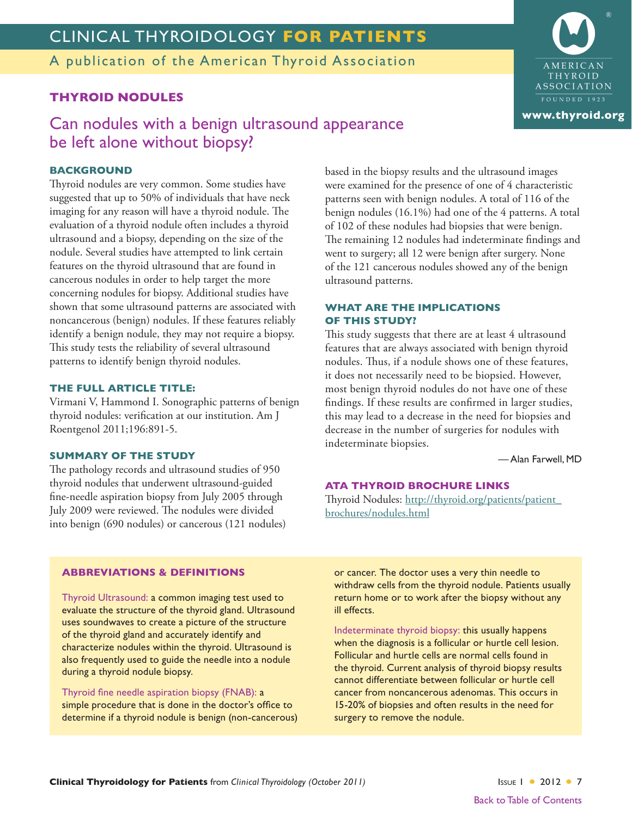<span id="page-6-0"></span>A publication of the American Thyroid Association

#### **THYROID NODULES**

### Can nodules with a benign ultrasound appearance be left alone without biopsy?

#### **BACKGROUND**

Thyroid nodules are very common. Some studies have suggested that up to 50% of individuals that have neck imaging for any reason will have a thyroid nodule. The evaluation of a thyroid nodule often includes a thyroid ultrasound and a biopsy, depending on the size of the nodule. Several studies have attempted to link certain features on the thyroid ultrasound that are found in cancerous nodules in order to help target the more concerning nodules for biopsy. Additional studies have shown that some ultrasound patterns are associated with noncancerous (benign) nodules. If these features reliably identify a benign nodule, they may not require a biopsy. This study tests the reliability of several ultrasound patterns to identify benign thyroid nodules.

#### **THE FULL ARTICLE TITLE:**

Virmani V, Hammond I. Sonographic patterns of benign thyroid nodules: verification at our institution. Am J Roentgenol 2011;196:891-5.

#### **SUMMARY OF THE STUDY**

The pathology records and ultrasound studies of 950 thyroid nodules that underwent ultrasound-guided fine-needle aspiration biopsy from July 2005 through July 2009 were reviewed. The nodules were divided into benign (690 nodules) or cancerous (121 nodules) based in the biopsy results and the ultrasound images were examined for the presence of one of 4 characteristic patterns seen with benign nodules. A total of 116 of the benign nodules (16.1%) had one of the 4 patterns. A total of 102 of these nodules had biopsies that were benign. The remaining 12 nodules had indeterminate findings and went to surgery; all 12 were benign after surgery. None of the 121 cancerous nodules showed any of the benign ultrasound patterns.

#### **WHAT ARE THE IMPLICATIONS OF THIS STUDY?**

This study suggests that there are at least 4 ultrasound features that are always associated with benign thyroid nodules. Thus, if a nodule shows one of these features, it does not necessarily need to be biopsied. However, most benign thyroid nodules do not have one of these findings. If these results are confirmed in larger studies, this may lead to a decrease in the need for biopsies and decrease in the number of surgeries for nodules with indeterminate biopsies.

— Alan Farwell, MD

#### **ATA THYROID BROCHURE LINKS**

Thyroid Nodules: [http://thyroid.org/patients/patient\\_](http://thyroid.org/patients/patient_brochures/nodules.html) [brochures/nodules.html](http://thyroid.org/patients/patient_brochures/nodules.html)

#### **ABBREVIATIONS & DEFINITIONS**

Thyroid Ultrasound: a common imaging test used to evaluate the structure of the thyroid gland. Ultrasound uses soundwaves to create a picture of the structure of the thyroid gland and accurately identify and characterize nodules within the thyroid. Ultrasound is also frequently used to guide the needle into a nodule during a thyroid nodule biopsy.

Thyroid fine needle aspiration biopsy (FNAB): a simple procedure that is done in the doctor's office to determine if a thyroid nodule is benign (non-cancerous) or cancer. The doctor uses a very thin needle to withdraw cells from the thyroid nodule. Patients usually return home or to work after the biopsy without any ill effects.

Indeterminate thyroid biopsy: this usually happens when the diagnosis is a follicular or hurtle cell lesion. Follicular and hurtle cells are normal cells found in the thyroid. Current analysis of thyroid biopsy results cannot differentiate between follicular or hurtle cell cancer from noncancerous adenomas. This occurs in 15-20% of biopsies and often results in the need for surgery to remove the nodule.

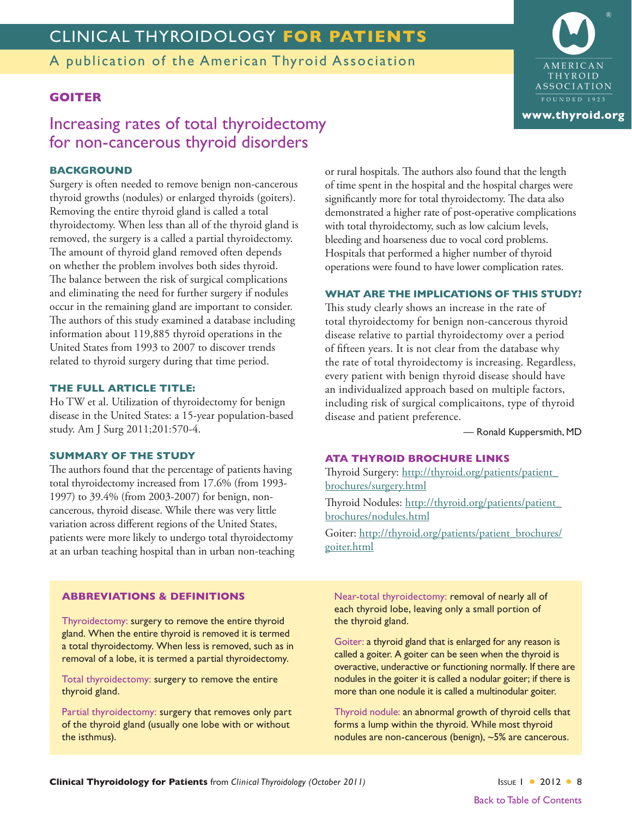<span id="page-7-0"></span>A publication of the American Thyroid Association

#### **GOITER**

### Increasing rates of total thyroidectomy for non-cancerous thyroid disorders

#### **BACKGROUND**

Surgery is often needed to remove benign non-cancerous thyroid growths (nodules) or enlarged thyroids (goiters). Removing the entire thyroid gland is called a total thyroidectomy. When less than all of the thyroid gland is removed, the surgery is a called a partial thyroidectomy. The amount of thyroid gland removed often depends on whether the problem involves both sides thyroid. The balance between the risk of surgical complications and eliminating the need for further surgery if nodules occur in the remaining gland are important to consider. The authors of this study examined a database including information about 119,885 thyroid operations in the United States from 1993 to 2007 to discover trends related to thyroid surgery during that time period.

#### **THE FULL ARTICLE TITLE:**

Ho TW et al. Utilization of thyroidectomy for benign disease in the United States: a 15-year population-based study. Am J Surg 2011;201:570-4.

#### **SUMMARY OF THE STUDY**

The authors found that the percentage of patients having total thyroidectomy increased from 17.6% (from 1993- 1997) to 39.4% (from 2003-2007) for benign, noncancerous, thyroid disease. While there was very little variation across different regions of the United States, patients were more likely to undergo total thyroidectomy at an urban teaching hospital than in urban non-teaching or rural hospitals. The authors also found that the length of time spent in the hospital and the hospital charges were significantly more for total thyroidectomy. The data also demonstrated a higher rate of post-operative complications with total thyroidectomy, such as low calcium levels, bleeding and hoarseness due to vocal cord problems. Hospitals that performed a higher number of thyroid operations were found to have lower complication rates.

#### **WHAT ARE THE IMPLICATIONS OF THIS STUDY?**

This study clearly shows an increase in the rate of total thyroidectomy for benign non-cancerous thyroid disease relative to partial thyroidectomy over a period of fifteen years. It is not clear from the database why the rate of total thyroidectomy is increasing. Regardless, every patient with benign thyroid disease should have an individualized approach based on multiple factors, including risk of surgical complicaitons, type of thyroid disease and patient preference.

— Ronald Kuppersmith, MD

#### **ATA THYROID BROCHURE LINKS**

Thyroid Surgery: [http://thyroid.org/patients/patient\\_](http://thyroid.org/patients/patient_brochures/surgery.html) [brochures/surgery.html](http://thyroid.org/patients/patient_brochures/surgery.html) Thyroid Nodules: [http://thyroid.org/patients/patient\\_](http://thyroid.org/patients/patient_brochures/nodules.html) [brochures/nodules.html](http://thyroid.org/patients/patient_brochures/nodules.html) Goiter: [http://thyroid.org/patients/patient\\_brochures/](http://thyroid.org/patients/patient_brochures/goiter.html) [goiter.html](http://thyroid.org/patients/patient_brochures/goiter.html)

#### **ABBREVIATIONS & DEFINITIONS**

Thyroidectomy: surgery to remove the entire thyroid gland. When the entire thyroid is removed it is termed a total thyroidectomy. When less is removed, such as in removal of a lobe, it is termed a partial thyroidectomy.

Total thyroidectomy: surgery to remove the entire thyroid gland.

Partial thyroidectomy: surgery that removes only part of the thyroid gland (usually one lobe with or without the isthmus).

Near-total thyroidectomy: removal of nearly all of each thyroid lobe, leaving only a small portion of the thyroid gland.

Goiter: a thyroid gland that is enlarged for any reason is called a goiter. A goiter can be seen when the thyroid is overactive, underactive or functioning normally. If there are nodules in the goiter it is called a nodular goiter; if there is more than one nodule it is called a multinodular goiter.

Thyroid nodule: an abnormal growth of thyroid cells that forms a lump within the thyroid. While most thyroid nodules are non-cancerous (benign), ~5% are cancerous.

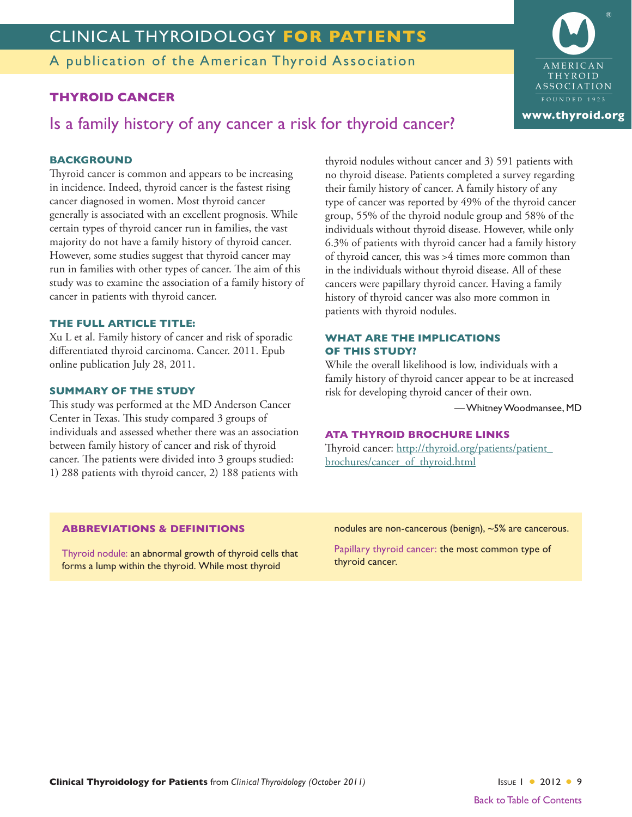<span id="page-8-0"></span>A publication of the American Thyroid Association

#### **THYROID CANCER**

Is a family history of any cancer a risk for thyroid cancer?

#### **BACKGROUND**

Thyroid cancer is common and appears to be increasing in incidence. Indeed, thyroid cancer is the fastest rising cancer diagnosed in women. Most thyroid cancer generally is associated with an excellent prognosis. While certain types of thyroid cancer run in families, the vast majority do not have a family history of thyroid cancer. However, some studies suggest that thyroid cancer may run in families with other types of cancer. The aim of this study was to examine the association of a family history of cancer in patients with thyroid cancer.

#### **THE FULL ARTICLE TITLE:**

Xu L et al. Family history of cancer and risk of sporadic differentiated thyroid carcinoma. Cancer. 2011. Epub online publication July 28, 2011.

#### **SUMMARY OF THE STUDY**

This study was performed at the MD Anderson Cancer Center in Texas. This study compared 3 groups of individuals and assessed whether there was an association between family history of cancer and risk of thyroid cancer. The patients were divided into 3 groups studied: 1) 288 patients with thyroid cancer, 2) 188 patients with

thyroid nodules without cancer and 3) 591 patients with no thyroid disease. Patients completed a survey regarding their family history of cancer. A family history of any type of cancer was reported by 49% of the thyroid cancer group, 55% of the thyroid nodule group and 58% of the individuals without thyroid disease. However, while only 6.3% of patients with thyroid cancer had a family history of thyroid cancer, this was >4 times more common than in the individuals without thyroid disease. All of these cancers were papillary thyroid cancer. Having a family history of thyroid cancer was also more common in patients with thyroid nodules.

#### **WHAT ARE THE IMPLICATIONS OF THIS STUDY?**

While the overall likelihood is low, individuals with a family history of thyroid cancer appear to be at increased risk for developing thyroid cancer of their own.

—WhitneyWoodmansee, MD

#### **ATA THYROID BROCHURE LINKS**

Thyroid cancer: [http://thyroid.org/patients/patient\\_](http://thyroid.org/patients/patient_brochures/cancer_of_thyroid.html) [brochures/cancer\\_of\\_thyroid.html](http://thyroid.org/patients/patient_brochures/cancer_of_thyroid.html)

#### **ABBREVIATIONS & DEFINITIONS**

Thyroid nodule: an abnormal growth of thyroid cells that forms a lump within the thyroid. While most thyroid

nodules are non-cancerous (benign), ~5% are cancerous.

Papillary thyroid cancer: the most common type of thyroid cancer.

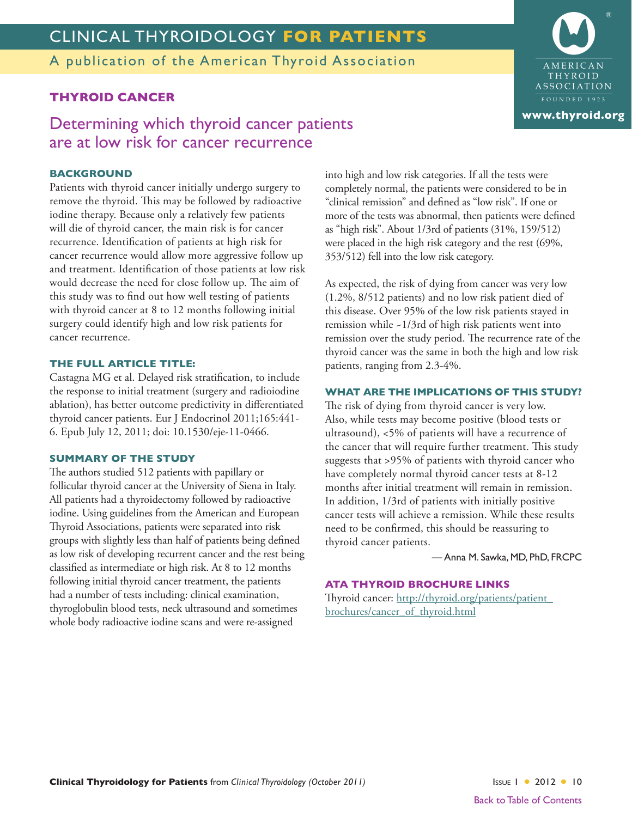<span id="page-9-0"></span>A publication of the American Thyroid Association

#### **THYROID CANCER**

### Determining which thyroid cancer patients are at low risk for cancer recurrence

#### **BACKGROUND**

Patients with thyroid cancer initially undergo surgery to remove the thyroid. This may be followed by radioactive iodine therapy. Because only a relatively few patients will die of thyroid cancer, the main risk is for cancer recurrence. Identification of patients at high risk for cancer recurrence would allow more aggressive follow up and treatment. Identification of those patients at low risk would decrease the need for close follow up. The aim of this study was to find out how well testing of patients with thyroid cancer at 8 to 12 months following initial surgery could identify high and low risk patients for cancer recurrence.

#### **THE FULL ARTICLE TITLE:**

Castagna MG et al. Delayed risk stratification, to include the response to initial treatment (surgery and radioiodine ablation), has better outcome predictivity in differentiated thyroid cancer patients. Eur J Endocrinol 2011;165:441- 6. Epub July 12, 2011; doi: 10.1530/eje-11-0466.

#### **SUMMARY OF THE STUDY**

The authors studied 512 patients with papillary or follicular thyroid cancer at the University of Siena in Italy. All patients had a thyroidectomy followed by radioactive iodine. Using guidelines from the American and European Thyroid Associations, patients were separated into risk groups with slightly less than half of patients being defined as low risk of developing recurrent cancer and the rest being classified as intermediate or high risk. At 8 to 12 months following initial thyroid cancer treatment, the patients had a number of tests including: clinical examination, thyroglobulin blood tests, neck ultrasound and sometimes whole body radioactive iodine scans and were re-assigned

into high and low risk categories. If all the tests were completely normal, the patients were considered to be in "clinical remission" and defined as "low risk". If one or more of the tests was abnormal, then patients were defined as "high risk". About 1/3rd of patients (31%, 159/512) were placed in the high risk category and the rest (69%, 353/512) fell into the low risk category.

As expected, the risk of dying from cancer was very low (1.2%, 8/512 patients) and no low risk patient died of this disease. Over 95% of the low risk patients stayed in remission while ~1/3rd of high risk patients went into remission over the study period. The recurrence rate of the thyroid cancer was the same in both the high and low risk patients, ranging from 2.3-4%.

#### **WHAT ARE THE IMPLICATIONS OF THIS STUDY?**

The risk of dying from thyroid cancer is very low. Also, while tests may become positive (blood tests or ultrasound), <5% of patients will have a recurrence of the cancer that will require further treatment. This study suggests that >95% of patients with thyroid cancer who have completely normal thyroid cancer tests at 8-12 months after initial treatment will remain in remission. In addition, 1/3rd of patients with initially positive cancer tests will achieve a remission. While these results need to be confirmed, this should be reassuring to thyroid cancer patients.

— Anna M. Sawka, MD, PhD, FRCPC

#### **ATA THYROID BROCHURE LINKS**

Thyroid cancer: [http://thyroid.org/patients/patient\\_](http://thyroid.org/patients/patient_brochures/cancer_of_thyroid.html) [brochures/cancer\\_of\\_thyroid.html](http://thyroid.org/patients/patient_brochures/cancer_of_thyroid.html)

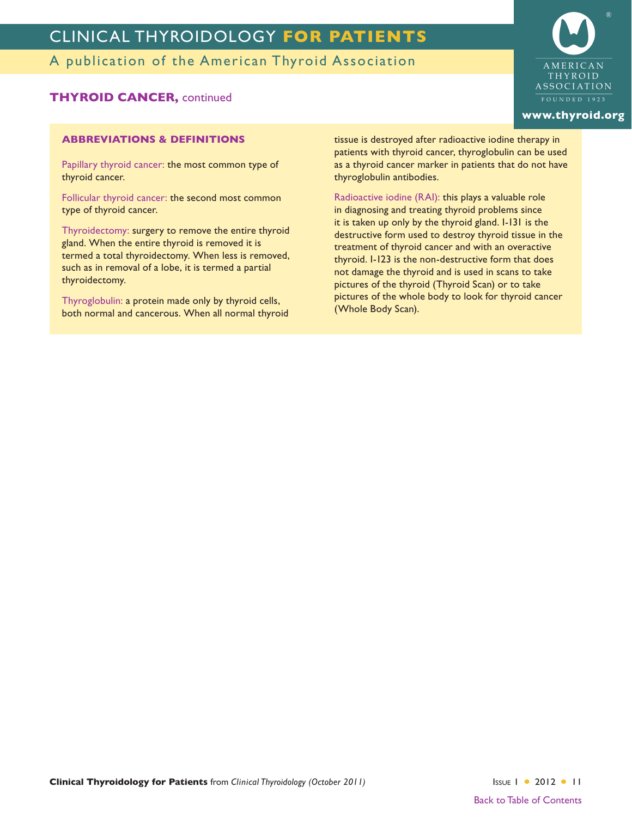A publication of the American Thyroid Association

#### **THYROID CANCER,** continued

#### **ABBREVIATIONS & DEFINITIONS**

Papillary thyroid cancer: the most common type of thyroid cancer.

Follicular thyroid cancer: the second most common type of thyroid cancer.

Thyroidectomy: surgery to remove the entire thyroid gland. When the entire thyroid is removed it is termed a total thyroidectomy. When less is removed, such as in removal of a lobe, it is termed a partial thyroidectomy.

Thyroglobulin: a protein made only by thyroid cells, both normal and cancerous. When all normal thyroid tissue is destroyed after radioactive iodine therapy in patients with thyroid cancer, thyroglobulin can be used as a thyroid cancer marker in patients that do not have thyroglobulin antibodies.

Radioactive iodine (RAI): this plays a valuable role in diagnosing and treating thyroid problems since it is taken up only by the thyroid gland. I-131 is the destructive form used to destroy thyroid tissue in the treatment of thyroid cancer and with an overactive thyroid. I-123 is the non-destructive form that does not damage the thyroid and is used in scans to take pictures of the thyroid (Thyroid Scan) or to take pictures of the whole body to look for thyroid cancer (Whole Body Scan).

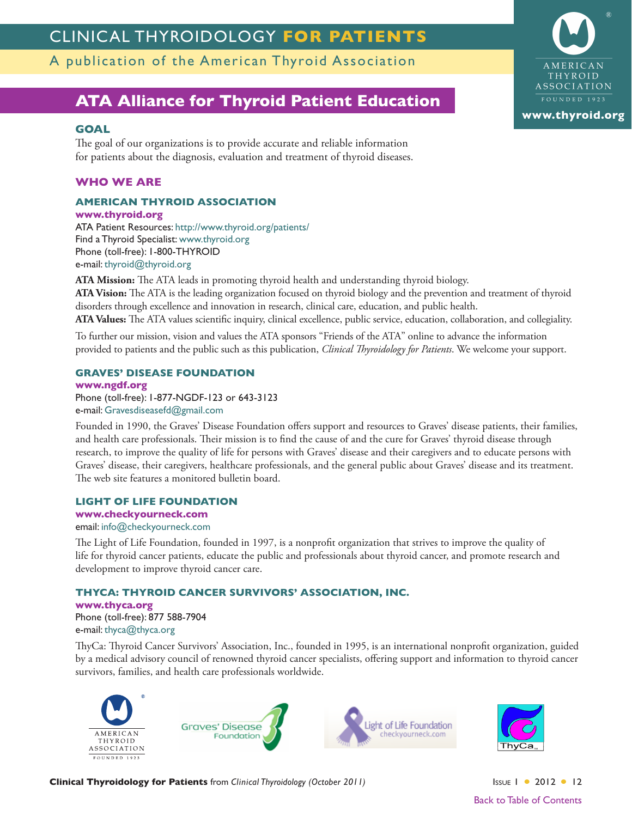<span id="page-11-0"></span>A publication of the American Thyroid Association

### **[ATA Alliance for Thyroid Patient Education](http://www.thyroid.org/patients/links.html)**

#### **GOAL**

The goal of our organizations is to provide accurate and reliable information for patients about the diagnosis, evaluation and treatment of thyroid diseases.

#### **WHO WE ARE**

#### **AMERICAN THYROID ASSOCIATION**

**[www.thyroid.org](http://www.thyroid.org)** ATA Patient Resources: <http://www.thyroid.org/patients/> Find a Thyroid Specialist: [www.thyroid.org](http://www.thyroid.org) Phone (toll-free): 1-800-THYROID e-mail: [thyroid@thyroid.org](mailto:thyroid@thyroid.org)

**ATA Mission:** The ATA leads in promoting thyroid health and understanding thyroid biology. **ATA Vision:** The ATA is the leading organization focused on thyroid biology and the prevention and treatment of thyroid disorders through excellence and innovation in research, clinical care, education, and public health. **ATA Values:** The ATA values scientific inquiry, clinical excellence, public service, education, collaboration, and collegiality.

To further our mission, vision and values the ATA sponsors "Friends of the ATA" online to advance the information provided to patients and the public such as this publication, *Clinical Thyroidology for Patients*. We welcome your support.

#### **GRAVES' DISEASE FOUNDATION**

**[www.ngdf.org](http://www.ngdf.org/)** Phone (toll-free): 1-877-NGDF-123 or 643-3123 e-mail: [Gravesdiseasefd@gmail.com](mailto:Gravesdiseasefd@gmail.com)

Founded in 1990, the Graves' Disease Foundation offers support and resources to Graves' disease patients, their families, and health care professionals. Their mission is to find the cause of and the cure for Graves' thyroid disease through research, to improve the quality of life for persons with Graves' disease and their caregivers and to educate persons with Graves' disease, their caregivers, healthcare professionals, and the general public about Graves' disease and its treatment. The web site features a monitored bulletin board.

#### **LIGHT OF LIFE FOUNDATION**

#### **[www.checkyourneck.com](http://www.checkyourneck.com/)**

email: [info@checkyourneck.com](mailto:info@checkyourneck.com)

The Light of Life Foundation, founded in 1997, is a nonprofit organization that strives to improve the quality of life for thyroid cancer patients, educate the public and professionals about thyroid cancer, and promote research and development to improve thyroid cancer care.

#### **THYCA: THYROID CANCER SURVIVORS' ASSOCIATION, INC.**

**[www.thyca.org](http://www.thyca.org/)** Phone (toll-free): 877 588-7904 e-mail: [thyca@thyca.org](mailto:thyca@thyca.org)

ThyCa: Thyroid Cancer Survivors' Association, Inc., founded in 1995, is an international nonprofit organization, guided by a medical advisory council of renowned thyroid cancer specialists, offering support and information to thyroid cancer survivors, families, and health care professionals worldwide.







Back to Table of [Contents](#page-0-0)